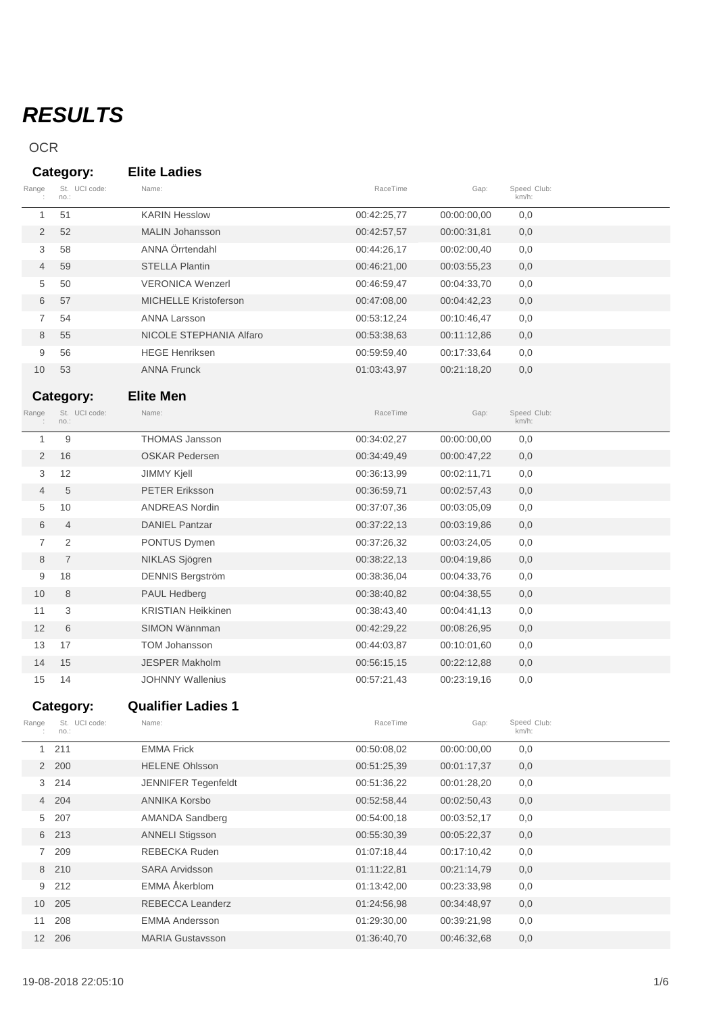# *RESULTS*

## OCR

|                | Category:             | <b>Elite Ladies</b>          |             |             |                      |  |
|----------------|-----------------------|------------------------------|-------------|-------------|----------------------|--|
| Range          | St. UCI code:<br>no.: | Name:                        | RaceTime    | Gap:        | Speed Club:<br>km/h: |  |
| 1              | 51                    | <b>KARIN Hesslow</b>         | 00:42:25,77 | 00:00:00,00 | 0,0                  |  |
| 2              | 52                    | <b>MALIN Johansson</b>       | 00:42:57,57 | 00:00:31,81 | 0,0                  |  |
| 3              | 58                    | ANNA Örrtendahl              | 00:44:26,17 | 00:02:00,40 | 0,0                  |  |
| 4              | 59                    | <b>STELLA Plantin</b>        | 00:46:21,00 | 00:03:55,23 | 0,0                  |  |
| 5              | 50                    | <b>VERONICA Wenzerl</b>      | 00:46:59,47 | 00:04:33,70 | 0,0                  |  |
| 6              | 57                    | <b>MICHELLE Kristoferson</b> | 00:47:08.00 | 00:04:42,23 | 0,0                  |  |
| 7              | 54                    | <b>ANNA Larsson</b>          | 00:53:12,24 | 00:10:46,47 | 0,0                  |  |
| 8              | 55                    | NICOLE STEPHANIA Alfaro      | 00:53:38,63 | 00:11:12,86 | 0,0                  |  |
| 9              | 56                    | <b>HEGE Henriksen</b>        | 00:59:59,40 | 00:17:33,64 | 0,0                  |  |
| 10             | 53                    | <b>ANNA Frunck</b>           | 01:03:43,97 | 00:21:18,20 | 0,0                  |  |
|                | Category:             | <b>Elite Men</b>             |             |             |                      |  |
| Range          | St. UCI code:<br>no.: | Name:                        | RaceTime    | Gap:        | Speed Club:<br>km/h: |  |
| 1              | 9                     | <b>THOMAS Jansson</b>        | 00:34:02,27 | 00:00:00,00 | 0,0                  |  |
| 2              | 16                    | <b>OSKAR Pedersen</b>        | 00:34:49,49 | 00:00:47,22 | 0,0                  |  |
| 3              | 12                    | <b>JIMMY Kjell</b>           | 00:36:13,99 | 00:02:11,71 | 0,0                  |  |
| 4              | 5                     | <b>PETER Eriksson</b>        | 00:36:59,71 | 00:02:57,43 | 0,0                  |  |
| 5              | 10                    | <b>ANDREAS Nordin</b>        | 00:37:07,36 | 00:03:05,09 | 0,0                  |  |
| 6              | 4                     | <b>DANIEL Pantzar</b>        | 00:37:22,13 | 00:03:19,86 | 0,0                  |  |
| $\overline{7}$ | 2                     | PONTUS Dymen                 | 00:37:26,32 | 00:03:24,05 | 0,0                  |  |
| 8              | $\overline{7}$        | NIKLAS Sjögren               | 00:38:22,13 | 00:04:19,86 | 0,0                  |  |
| 9              | 18                    | <b>DENNIS Bergström</b>      | 00:38:36,04 | 00:04:33,76 | 0,0                  |  |
| 10             | 8                     | PAUL Hedberg                 | 00:38:40,82 | 00:04:38,55 | 0,0                  |  |
| 11             | 3                     | <b>KRISTIAN Heikkinen</b>    | 00:38:43,40 | 00:04:41,13 | 0,0                  |  |
| 12             | 6                     | SIMON Wännman                | 00:42:29,22 | 00:08:26,95 | 0,0                  |  |
| 13             | 17                    | <b>TOM Johansson</b>         | 00:44:03,87 | 00:10:01,60 | 0,0                  |  |
| 14             | 15                    | <b>JESPER Makholm</b>        | 00:56:15,15 | 00:22:12,88 | 0,0                  |  |
| 15             | 14                    | <b>JOHNNY Wallenius</b>      | 00:57:21,43 | 00:23:19,16 | 0,0                  |  |
|                | Category:             | <b>Qualifier Ladies 1</b>    |             |             |                      |  |
| Range          | St. UCI code:<br>no.: | Name:                        | RaceTime    | Gap:        | Speed Club:<br>km/h: |  |
| $\mathbf{1}$   | 211                   | <b>EMMA Frick</b>            | 00:50:08,02 | 00:00:00,00 | 0,0                  |  |
|                | 2 200                 | <b>HELENE Ohlsson</b>        | 00:51:25,39 | 00:01:17,37 | 0,0                  |  |
|                | 3 214                 | <b>JENNIFER Tegenfeldt</b>   | 00:51:36,22 | 00:01:28,20 | 0,0                  |  |
|                | 4 204                 | <b>ANNIKA Korsbo</b>         | 00:52:58,44 | 00:02:50,43 | 0,0                  |  |
|                | 5 207                 | AMANDA Sandberg              | 00:54:00,18 | 00:03:52,17 | 0,0                  |  |
|                | 6 213                 | <b>ANNELI Stigsson</b>       | 00:55:30,39 | 00:05:22,37 | 0,0                  |  |
|                | 7 209                 | REBECKA Ruden                | 01:07:18,44 | 00:17:10,42 | 0,0                  |  |
|                | 8 210                 | <b>SARA Arvidsson</b>        | 01:11:22,81 | 00:21:14,79 | 0,0                  |  |
| 9              | 212                   | EMMA Åkerblom                | 01:13:42,00 | 00:23:33,98 | 0,0                  |  |
|                | 10 205                | REBECCA Leanderz             | 01:24:56,98 | 00:34:48,97 | 0,0                  |  |
| 11             | 208                   | <b>EMMA Andersson</b>        | 01:29:30,00 | 00:39:21,98 | 0,0                  |  |
|                | 12 206                | <b>MARIA Gustavsson</b>      | 01:36:40,70 | 00:46:32,68 | 0,0                  |  |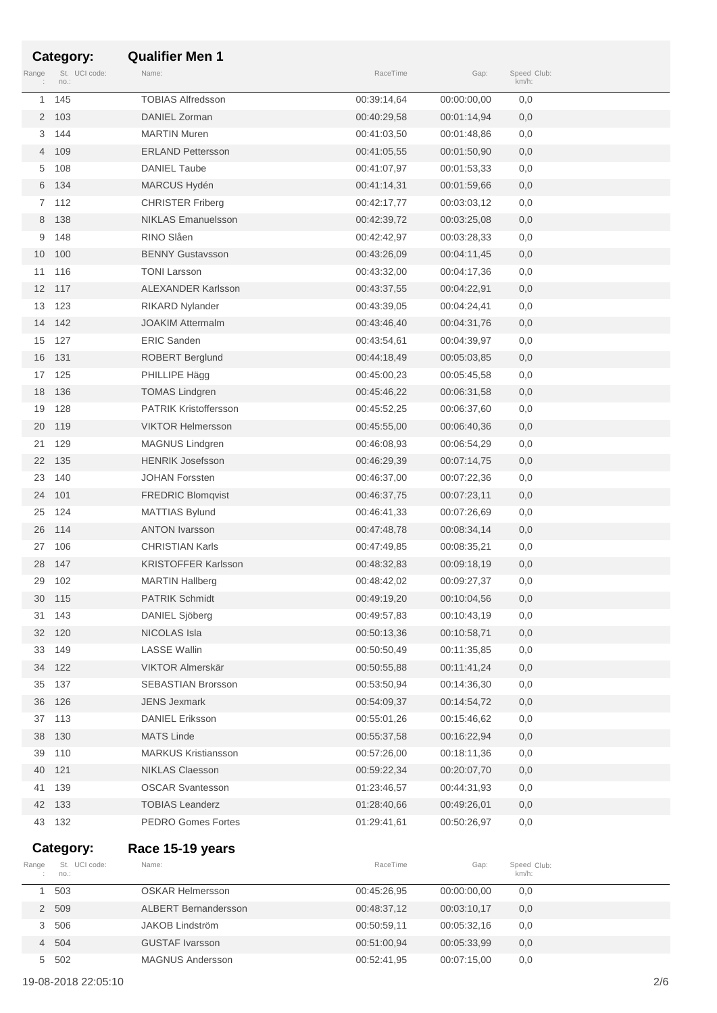|                 | Category:             | <b>Qualifier Men 1</b>       |             |             |                      |  |
|-----------------|-----------------------|------------------------------|-------------|-------------|----------------------|--|
| Range           | St. UCI code:<br>no.: | Name:                        | RaceTime    | Gap:        | Speed Club:<br>km/h: |  |
| 1               | 145                   | <b>TOBIAS Alfredsson</b>     | 00:39:14,64 | 00:00:00,00 | 0,0                  |  |
|                 | 2 103                 | DANIEL Zorman                | 00:40:29,58 | 00:01:14,94 | 0,0                  |  |
| 3               | 144                   | <b>MARTIN Muren</b>          | 00:41:03,50 | 00:01:48,86 | 0,0                  |  |
| 4               | 109                   | <b>ERLAND Pettersson</b>     | 00:41:05,55 | 00:01:50,90 | 0,0                  |  |
| 5               | 108                   | <b>DANIEL Taube</b>          | 00:41:07,97 | 00:01:53,33 | 0,0                  |  |
| 6               | 134                   | MARCUS Hydén                 | 00:41:14,31 | 00:01:59,66 | 0,0                  |  |
| $7^{\circ}$     | 112                   | <b>CHRISTER Friberg</b>      | 00:42:17,77 | 00:03:03,12 | 0,0                  |  |
|                 | 8 138                 | <b>NIKLAS Emanuelsson</b>    | 00:42:39,72 | 00:03:25,08 | 0,0                  |  |
| 9               | 148                   | RINO Slåen                   | 00:42:42,97 | 00:03:28,33 | 0,0                  |  |
| 10 <sup>°</sup> | 100                   | <b>BENNY Gustavsson</b>      | 00:43:26,09 | 00:04:11,45 | 0,0                  |  |
|                 | 11 116                | <b>TONI Larsson</b>          | 00:43:32,00 | 00:04:17,36 | 0,0                  |  |
| 12 <sup>2</sup> | 117                   | <b>ALEXANDER Karlsson</b>    | 00:43:37,55 | 00:04:22,91 | 0,0                  |  |
| 13              | 123                   | <b>RIKARD Nylander</b>       | 00:43:39,05 | 00:04:24,41 | 0,0                  |  |
| 14              | 142                   | <b>JOAKIM Attermalm</b>      | 00:43:46,40 | 00:04:31,76 | 0,0                  |  |
| 15              | 127                   | <b>ERIC Sanden</b>           | 00:43:54,61 | 00:04:39,97 | 0,0                  |  |
| 16              | 131                   | <b>ROBERT Berglund</b>       | 00:44:18,49 | 00:05:03,85 | 0,0                  |  |
| 17              | 125                   | PHILLIPE Hägg                | 00:45:00,23 | 00:05:45,58 | 0,0                  |  |
| 18              | 136                   | <b>TOMAS Lindgren</b>        | 00:45:46,22 | 00:06:31,58 | 0,0                  |  |
| 19              | 128                   | <b>PATRIK Kristoffersson</b> | 00:45:52,25 | 00:06:37,60 | 0,0                  |  |
| 20              | 119                   | <b>VIKTOR Helmersson</b>     | 00:45:55,00 | 00:06:40,36 | 0,0                  |  |
| 21              | 129                   | MAGNUS Lindgren              | 00:46:08,93 | 00:06:54,29 | 0,0                  |  |
| 22              | 135                   | <b>HENRIK Josefsson</b>      | 00:46:29,39 | 00:07:14,75 | 0,0                  |  |
| 23              | 140                   | <b>JOHAN Forssten</b>        | 00:46:37,00 | 00:07:22,36 | 0,0                  |  |
| 24              | 101                   | <b>FREDRIC Blomqvist</b>     | 00:46:37,75 | 00:07:23,11 | 0,0                  |  |
| 25              | 124                   | <b>MATTIAS Bylund</b>        | 00:46:41,33 | 00:07:26,69 | 0,0                  |  |
| 26              | 114                   | <b>ANTON Ivarsson</b>        | 00:47:48,78 | 00:08:34,14 | 0,0                  |  |
| 27              | 106                   | <b>CHRISTIAN Karls</b>       | 00:47:49,85 | 00:08:35,21 | 0,0                  |  |
| 28              | 147                   | <b>KRISTOFFER Karlsson</b>   | 00:48:32,83 | 00:09:18,19 | 0,0                  |  |
| 29              | 102                   | <b>MARTIN Hallberg</b>       | 00:48:42,02 | 00:09:27,37 | 0,0                  |  |
| 30              | 115                   | <b>PATRIK Schmidt</b>        | 00:49:19,20 | 00:10:04,56 | 0,0                  |  |
| 31              | 143                   | DANIEL Sjöberg               | 00:49:57,83 | 00:10:43,19 | 0,0                  |  |
| 32              | 120                   | NICOLAS Isla                 | 00:50:13,36 | 00:10:58,71 | 0,0                  |  |
| 33              | 149                   | <b>LASSE Wallin</b>          | 00:50:50,49 | 00:11:35,85 | 0,0                  |  |
| 34              | 122                   | VIKTOR Almerskär             | 00:50:55,88 | 00:11:41,24 | 0,0                  |  |
| 35              | 137                   | <b>SEBASTIAN Brorsson</b>    | 00:53:50,94 | 00:14:36,30 | 0,0                  |  |
| 36              | 126                   | <b>JENS Jexmark</b>          | 00:54:09,37 | 00:14:54,72 | 0,0                  |  |
|                 | 37 113                | <b>DANIEL Eriksson</b>       | 00:55:01.26 | 00:15:46,62 | 0,0                  |  |
| 38              | 130                   | <b>MATS Linde</b>            | 00:55:37,58 | 00:16:22,94 | 0,0                  |  |
| 39              | 110                   | <b>MARKUS Kristiansson</b>   | 00:57:26,00 | 00:18:11,36 | 0,0                  |  |
| 40              | 121                   | <b>NIKLAS Claesson</b>       | 00:59:22,34 | 00:20:07,70 | 0,0                  |  |
| 41              | 139                   | <b>OSCAR Svantesson</b>      | 01:23:46,57 | 00:44:31,93 | 0,0                  |  |
| 42              | 133                   | <b>TOBIAS Leanderz</b>       | 01:28:40,66 | 00:49:26,01 | 0,0                  |  |
| 43              | 132                   | <b>PEDRO Gomes Fortes</b>    | 01:29:41,61 | 00:50:26,97 | 0,0                  |  |
|                 | Category:             | Race 15-19 years             |             |             |                      |  |
| Range           | St. UCI code:<br>no.: | Name:                        | RaceTime    | Gap:        | Speed Club:<br>km/h: |  |
| 1               | 503                   | <b>OSKAR Helmersson</b>      | 00:45:26,95 | 00:00:00,00 | 0,0                  |  |
| $\overline{2}$  | 509                   | <b>ALBERT Bernandersson</b>  | 00:48:37,12 | 00:03:10,17 | 0,0                  |  |
| 3               | 506                   | JAKOB Lindström              | 00:50:59,11 | 00:05:32,16 | 0,0                  |  |
| $\overline{4}$  | 504                   | <b>GUSTAF Ivarsson</b>       | 00:51:00,94 | 00:05:33,99 | 0,0                  |  |

502 MAGNUS Andersson 00:52:41,95 00:07:15,00 0,0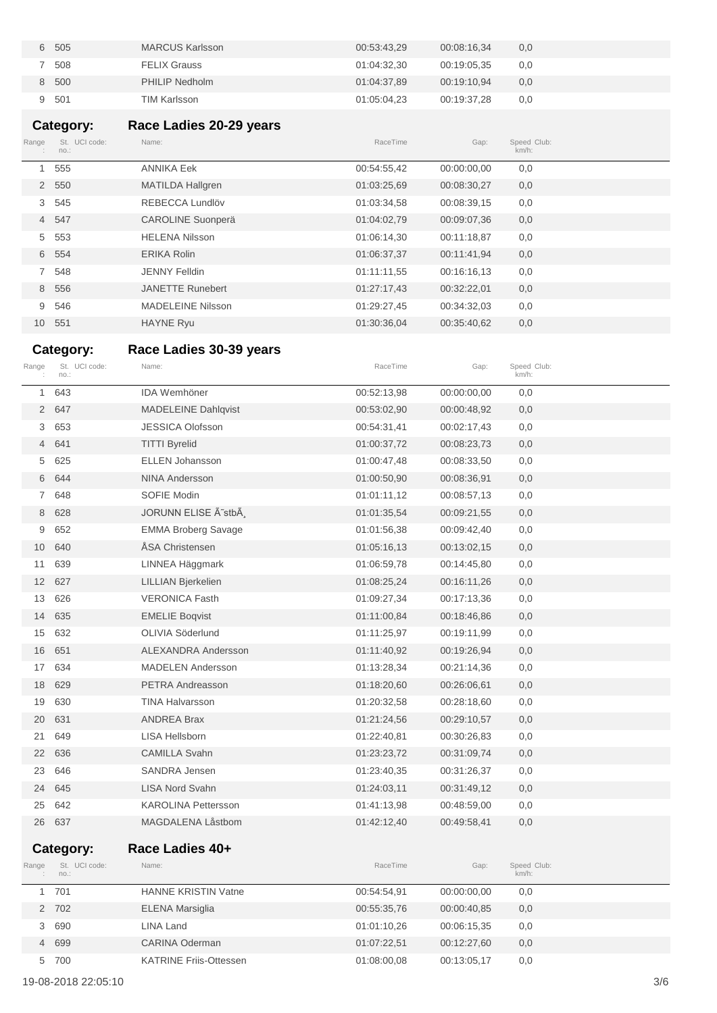| 505<br>6. | <b>MARCUS Karlsson</b> | 00:53:43,29 | 00:08:16.34 | 0,0 |
|-----------|------------------------|-------------|-------------|-----|
| 508       | <b>FELIX Grauss</b>    | 01:04:32,30 | 00:19:05.35 | 0,0 |
| 8 500     | PHILIP Nedholm         | 01:04:37,89 | 00:19:10.94 | 0,0 |
| 9 501     | <b>TIM Karlsson</b>    | 01:05:04,23 | 00:19:37,28 | 0,0 |

# **Category: Race Ladies 20-29 years**

| Range        | St. UCI code:<br>no.: | Name:                    | RaceTime    | Gap:        | Speed Club:<br>$km/h$ : |  |
|--------------|-----------------------|--------------------------|-------------|-------------|-------------------------|--|
| $\mathbf{1}$ | 555                   | <b>ANNIKA Eek</b>        | 00:54:55,42 | 00:00:00.00 | 0,0                     |  |
|              | 2 550                 | <b>MATILDA Hallgren</b>  | 01:03:25.69 | 00:08:30,27 | 0,0                     |  |
|              | 3 545                 | REBECCA Lundlöv          | 01:03:34,58 | 00:08:39.15 | 0,0                     |  |
|              | 4 547                 | <b>CAROLINE Suonperä</b> | 01:04:02.79 | 00:09:07,36 | 0,0                     |  |
|              | 5 553                 | <b>HELENA Nilsson</b>    | 01:06:14,30 | 00:11:18,87 | 0,0                     |  |
|              | 6 554                 | <b>ERIKA Rolin</b>       | 01:06:37,37 | 00:11:41.94 | 0,0                     |  |
| $7^{\circ}$  | 548                   | <b>JENNY Felldin</b>     | 01:11:11.55 | 00:16:16.13 | 0,0                     |  |
| 8            | 556                   | <b>JANETTE Runebert</b>  | 01:27:17.43 | 00:32:22,01 | 0,0                     |  |
| 9            | 546                   | <b>MADELEINE Nilsson</b> | 01:29:27,45 | 00:34:32,03 | 0,0                     |  |
|              | 10 551                | <b>HAYNE Ryu</b>         | 01:30:36.04 | 00:35:40,62 | 0,0                     |  |

# Race Ladies 30-39 years

| Range           | St. UCI code:<br>no.: | Name:                      | RaceTime    | Gap:        | Speed Club:<br>km/h: |
|-----------------|-----------------------|----------------------------|-------------|-------------|----------------------|
| $\mathbf{1}$    | 643                   | <b>IDA Wemhöner</b>        | 00:52:13,98 | 00:00:00,00 | 0,0                  |
| $\overline{2}$  | 647                   | <b>MADELEINE Dahlqvist</b> | 00:53:02,90 | 00:00:48,92 | 0,0                  |
| 3               | 653                   | <b>JESSICA Olofsson</b>    | 00:54:31,41 | 00:02:17,43 | 0,0                  |
| $\overline{4}$  | 641                   | <b>TITTI Byrelid</b>       | 01:00:37,72 | 00:08:23,73 | 0,0                  |
| 5               | 625                   | <b>ELLEN Johansson</b>     | 01:00:47,48 | 00:08:33,50 | 0,0                  |
| 6               | 644                   | <b>NINA Andersson</b>      | 01:00:50,90 | 00:08:36,91 | 0,0                  |
| $7^{\circ}$     | 648                   | SOFIE Modin                | 01:01:11,12 | 00:08:57,13 | 0,0                  |
| 8               | 628                   | JORUNN ELISE Ã~stbÃ        | 01:01:35,54 | 00:09:21,55 | 0,0                  |
| 9               | 652                   | <b>EMMA Broberg Savage</b> | 01:01:56,38 | 00:09:42,40 | 0,0                  |
| 10              | 640                   | ÅSA Christensen            | 01:05:16,13 | 00:13:02,15 | 0,0                  |
| 11              | 639                   | LINNEA Häggmark            | 01:06:59,78 | 00:14:45,80 | 0,0                  |
| 12              | 627                   | LILLIAN Bjerkelien         | 01:08:25,24 | 00:16:11,26 | 0,0                  |
| 13              | 626                   | <b>VERONICA Fasth</b>      | 01:09:27,34 | 00:17:13,36 | 0,0                  |
| 14              | 635                   | <b>EMELIE Boqvist</b>      | 01:11:00,84 | 00:18:46,86 | 0,0                  |
| 15              | 632                   | OLIVIA Söderlund           | 01:11:25,97 | 00:19:11,99 | 0,0                  |
| 16              | 651                   | <b>ALEXANDRA Andersson</b> | 01:11:40,92 | 00:19:26,94 | 0,0                  |
| 17 <sup>1</sup> | 634                   | <b>MADELEN Andersson</b>   | 01:13:28,34 | 00:21:14,36 | 0,0                  |
| 18              | 629                   | PETRA Andreasson           | 01:18:20,60 | 00:26:06,61 | 0,0                  |
| 19              | 630                   | <b>TINA Halvarsson</b>     | 01:20:32,58 | 00:28:18,60 | 0,0                  |
| 20              | 631                   | <b>ANDREA Brax</b>         | 01:21:24,56 | 00:29:10,57 | 0,0                  |
| 21              | 649                   | <b>LISA Hellsborn</b>      | 01:22:40,81 | 00:30:26,83 | 0,0                  |
| 22              | 636                   | <b>CAMILLA Svahn</b>       | 01:23:23,72 | 00:31:09,74 | 0,0                  |
| 23              | 646                   | SANDRA Jensen              | 01:23:40,35 | 00:31:26,37 | 0,0                  |
| 24              | 645                   | LISA Nord Svahn            | 01:24:03,11 | 00:31:49,12 | 0,0                  |
| 25              | 642                   | <b>KAROLINA Pettersson</b> | 01:41:13,98 | 00:48:59,00 | 0,0                  |
| 26              | 637                   | MAGDALENA Låstbom          | 01:42:12,40 | 00:49:58,41 | 0,0                  |
|                 | Category:             | Race Ladies 40+            |             |             |                      |
| Range           | St. UCI code:         | Name:                      | RaceTime    | Gap:        | Speed Club:          |
|                 | no.:                  |                            |             |             | km/h:                |
| $\mathbf{1}$    | 701                   | <b>HANNE KRISTIN Vatne</b> | 00:54:54,91 | 00:00:00,00 | 0,0                  |
| $\overline{2}$  | 702                   | <b>ELENA Marsiglia</b>     | 00:55:35,76 | 00:00:40,85 | 0,0                  |
| 3               | 690                   | <b>LINA Land</b>           | 01:01:10,26 | 00:06:15,35 | 0,0                  |
| $\overline{4}$  | 699                   | <b>CARINA Oderman</b>      | 01:07:22,51 | 00:12:27,60 | 0,0                  |

700 KATRINE Friis-Ottessen 01:08:00,08 00:13:05,17 0,0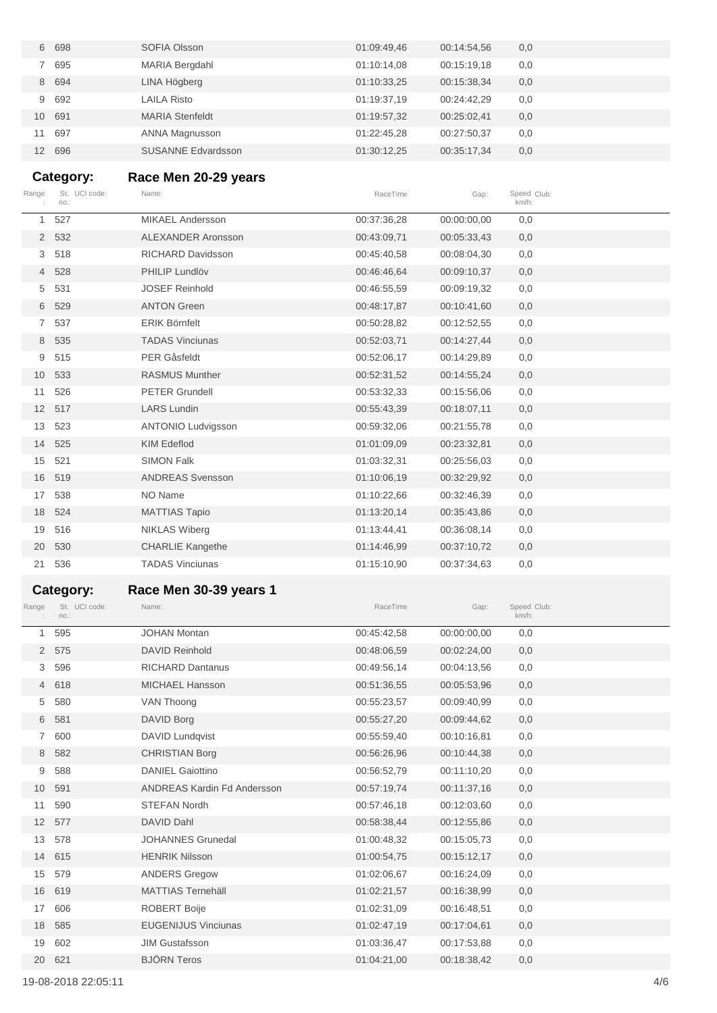| 6               | 698    | SOFIA Olsson              | 01:09:49,46 | 00:14:54,56 | 0,0 |
|-----------------|--------|---------------------------|-------------|-------------|-----|
|                 | 695    | <b>MARIA Bergdahl</b>     | 01:10:14,08 | 00:15:19.18 | 0,0 |
|                 | 8 694  | LINA Högberg              | 01:10:33,25 | 00:15:38,34 | 0,0 |
|                 | 9 692  | <b>LAILA Risto</b>        | 01:19:37.19 | 00:24:42.29 | 0,0 |
|                 | 10 691 | <b>MARIA Stenfeldt</b>    | 01:19:57,32 | 00:25:02,41 | 0,0 |
| 11              | 697    | ANNA Magnusson            | 01:22:45.28 | 00:27:50.37 | 0,0 |
| 12 <sup>2</sup> | 696    | <b>SUSANNE Edvardsson</b> | 01:30:12.25 | 00:35:17,34 | 0,0 |

### **Category: Race Men 20-29 years**

|              | Category:             | Race Men 20-29 years      |             |             |                         |  |
|--------------|-----------------------|---------------------------|-------------|-------------|-------------------------|--|
| Range        | St. UCI code:<br>no.: | Name:                     | RaceTime    | Gap:        | Speed Club:<br>$km/h$ : |  |
| $\mathbf{1}$ | 527                   | <b>MIKAEL Andersson</b>   | 00:37:36,28 | 00:00:00,00 | 0,0                     |  |
|              | 2 532                 | ALEXANDER Aronsson        | 00:43:09.71 | 00:05:33,43 | 0,0                     |  |
| 3            | 518                   | <b>RICHARD Davidsson</b>  | 00:45:40,58 | 00:08:04,30 | 0,0                     |  |
|              | 4 528                 | PHILIP Lundlöv            | 00:46:46,64 | 00:09:10,37 | 0,0                     |  |
| 5            | 531                   | <b>JOSEF Reinhold</b>     | 00:46:55,59 | 00:09:19,32 | 0,0                     |  |
|              | 6 529                 | <b>ANTON Green</b>        | 00:48:17,87 | 00:10:41,60 | 0,0                     |  |
| $7^{\circ}$  | 537                   | <b>ERIK Börnfelt</b>      | 00:50:28,82 | 00:12:52,55 | 0,0                     |  |
|              | 8 535                 | <b>TADAS Vinciunas</b>    | 00:52:03,71 | 00:14:27,44 | 0,0                     |  |
| 9            | 515                   | <b>PER Gåsfeldt</b>       | 00:52:06,17 | 00:14:29,89 | 0,0                     |  |
|              | 10 533                | <b>RASMUS Munther</b>     | 00:52:31,52 | 00:14:55,24 | 0,0                     |  |
| 11           | 526                   | <b>PETER Grundell</b>     | 00:53:32,33 | 00:15:56,06 | 0,0                     |  |
|              | 12 517                | <b>LARS Lundin</b>        | 00:55:43,39 | 00:18:07,11 | 0,0                     |  |
| 13           | 523                   | <b>ANTONIO Ludvigsson</b> | 00:59:32,06 | 00:21:55,78 | 0,0                     |  |
|              | 14 525                | <b>KIM Edeflod</b>        | 01:01:09,09 | 00:23:32,81 | 0,0                     |  |
| 15           | 521                   | <b>SIMON Falk</b>         | 01:03:32,31 | 00:25:56,03 | 0,0                     |  |
|              | 16 519                | <b>ANDREAS Svensson</b>   | 01:10:06,19 | 00:32:29,92 | 0,0                     |  |
| 17           | 538                   | NO Name                   | 01:10:22,66 | 00:32:46,39 | 0,0                     |  |
| 18           | 524                   | <b>MATTIAS Tapio</b>      | 01:13:20,14 | 00:35:43,86 | 0,0                     |  |
| 19           | 516                   | <b>NIKLAS Wiberg</b>      | 01:13:44,41 | 00:36:08,14 | 0,0                     |  |
| 20           | 530                   | <b>CHARLIE Kangethe</b>   | 01:14:46,99 | 00:37:10,72 | 0,0                     |  |
|              | 21 536                | <b>TADAS Vinciunas</b>    | 01:15:10,90 | 00:37:34,63 | 0,0                     |  |
|              | Category:             | Race Men 30-39 years 1    |             |             |                         |  |

## St. no.: Range UCI code: Name: Club: RaceTime Gap: Speed Club:<br>km/h: 595 JOHAN Montan 00:45:42,58 00:00:00,00 0,0 575 DAVID Reinhold 00:48:06,59 00:02:24,00 0,0 596 RICHARD Dantanus 00:49:56,14 00:04:13,56 0,0 618 MICHAEL Hansson 00:51:36,55 00:05:53,96 0,0 580 VAN Thoong 00:55:23,57 00:09:40,99 0,0 581 DAVID Borg 00:55:27,20 00:09:44,62 0,0 600 DAVID Lundqvist 00:55:59,40 00:10:16,81 0,0 582 CHRISTIAN Borg 00:56:26,96 00:10:44,38 0,0 588 DANIEL Gaiottino 00:56:52,79 00:11:10,20 0,0 591 ANDREAS Kardin Fd Andersson 00:57:19,74 00:11:37,16 0,0 590 STEFAN Nordh 00:57:46,18 00:12:03,60 0,0 577 DAVID Dahl 00:58:38,44 00:12:55,86 0,0 578 JOHANNES Grunedal 01:00:48,32 00:15:05,73 0,0 615 HENRIK Nilsson 01:00:54,75 00:15:12,17 0,0 579 ANDERS Gregow 01:02:06,67 00:16:24,09 0,0 619 MATTIAS Ternehäll 01:02:21,57 00:16:38,99 0,0 606 ROBERT Boije 01:02:31,09 00:16:48,51 0,0 585 EUGENIJUS Vinciunas 01:02:47,19 00:17:04,61 0,0 602 JIM Gustafsson 01:03:36,47 00:17:53,88 0,0 621 BJÖRN Teros 01:04:21,00 00:18:38,42 0,0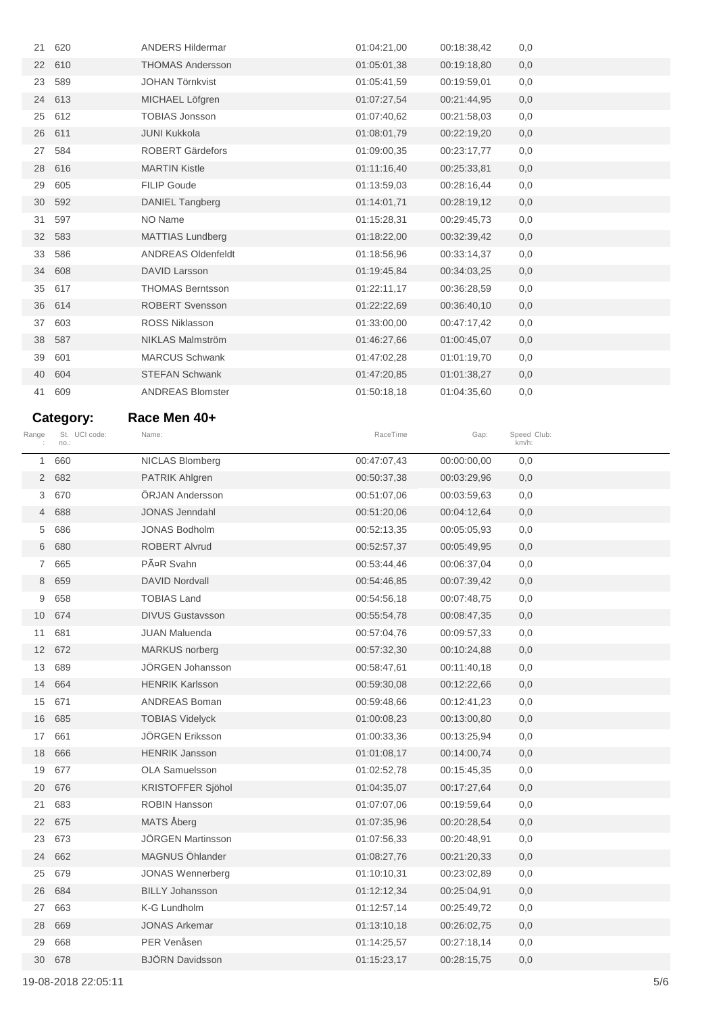| 21             | 620           | <b>ANDERS Hildermar</b>   | 01:04:21,00 | 00:18:38,42 | 0,0         |
|----------------|---------------|---------------------------|-------------|-------------|-------------|
|                | 22 610        | <b>THOMAS Andersson</b>   | 01:05:01,38 | 00:19:18,80 | 0,0         |
| 23             | 589           | <b>JOHAN Törnkvist</b>    | 01:05:41,59 | 00:19:59,01 | 0,0         |
|                | 24 613        | MICHAEL Löfgren           | 01:07:27,54 | 00:21:44,95 | 0,0         |
| 25             | 612           | <b>TOBIAS Jonsson</b>     | 01:07:40,62 | 00:21:58,03 | 0,0         |
| 26             | 611           | <b>JUNI Kukkola</b>       | 01:08:01,79 | 00:22:19,20 | 0,0         |
| 27             | 584           | <b>ROBERT Gärdefors</b>   | 01:09:00,35 | 00:23:17,77 | 0,0         |
|                | 28 616        | <b>MARTIN Kistle</b>      | 01:11:16,40 | 00:25:33,81 | 0,0         |
| 29             | 605           | <b>FILIP Goude</b>        | 01:13:59,03 | 00:28:16,44 | 0,0         |
| 30             | 592           | <b>DANIEL Tangberg</b>    | 01:14:01,71 | 00:28:19,12 | 0,0         |
| 31             | 597           | NO Name                   | 01:15:28,31 | 00:29:45,73 | 0,0         |
|                | 32 583        | <b>MATTIAS Lundberg</b>   | 01:18:22,00 | 00:32:39,42 | 0,0         |
| 33             | 586           | <b>ANDREAS Oldenfeldt</b> | 01:18:56,96 | 00:33:14,37 | 0,0         |
| 34             | 608           | <b>DAVID Larsson</b>      | 01:19:45,84 | 00:34:03,25 | 0,0         |
| 35             | 617           | <b>THOMAS Berntsson</b>   | 01:22:11,17 | 00:36:28,59 | 0,0         |
| 36             | 614           | <b>ROBERT Svensson</b>    | 01:22:22,69 | 00:36:40,10 | 0,0         |
| 37             | 603           | <b>ROSS Niklasson</b>     | 01:33:00,00 | 00:47:17.42 | 0,0         |
|                | 38 587        | <b>NIKLAS Malmström</b>   |             |             |             |
|                |               |                           | 01:46:27,66 | 01:00:45,07 | 0,0         |
| 39             | 601           | <b>MARCUS Schwank</b>     | 01:47:02,28 | 01:01:19,70 | 0,0         |
| 40             | 604           | <b>STEFAN Schwank</b>     | 01:47:20,85 | 01:01:38,27 | 0,0         |
| 41             | 609           | <b>ANDREAS Blomster</b>   | 01:50:18,18 | 01:04:35,60 | 0,0         |
|                | Category:     | Race Men 40+              |             |             |             |
| Range          | St. UCI code: | Name:                     | RaceTime    | Gap:        | Speed Club: |
|                | no.:          |                           |             |             | km/h:       |
| 1              | 660           | NICLAS Blomberg           | 00:47:07,43 | 00:00:00,00 | 0,0         |
|                | 2 682         | <b>PATRIK Ahlgren</b>     | 00:50:37,38 | 00:03:29,96 | 0,0         |
| 3              | 670           | ÖRJAN Andersson           | 00:51:07,06 | 00:03:59,63 | 0,0         |
|                | 4 688         | <b>JONAS Jenndahl</b>     | 00:51:20,06 | 00:04:12,64 | 0,0         |
| 5              | 686           | <b>JONAS Bodholm</b>      | 00:52:13,35 | 00:05:05,93 | 0,0         |
| 6              | 680           | <b>ROBERT Alvrud</b>      | 00:52:57,37 | 00:05:49,95 | 0,0         |
| $\overline{7}$ | 665           | PäR Svahn                 | 00:53:44,46 | 00:06:37,04 | 0,0         |
| 8              | 659           | <b>DAVID Nordvall</b>     | 00:54:46,85 | 00:07:39,42 | 0,0         |
| 9              | 658           | <b>TOBIAS Land</b>        | 00:54:56,18 | 00:07:48,75 | 0,0         |
|                | 10 674        | <b>DIVUS Gustavsson</b>   | 00:55:54,78 | 00:08:47,35 | 0,0         |
| 11             | 681           | <b>JUAN Maluenda</b>      | 00:57:04,76 | 00:09:57,33 | 0,0         |
|                | 12 672        | <b>MARKUS</b> norberg     | 00:57:32,30 | 00:10:24,88 | 0,0         |
| 13             | 689           | JÖRGEN Johansson          | 00:58:47,61 | 00:11:40,18 | 0,0         |
| 14             | 664           | <b>HENRIK Karlsson</b>    | 00:59:30,08 | 00:12:22,66 | 0,0         |
| 15             | 671           | ANDREAS Boman             | 00:59:48,66 | 00:12:41,23 | 0,0         |
| 16             | 685           | <b>TOBIAS Videlyck</b>    | 01:00:08,23 | 00:13:00,80 | 0,0         |
| 17             | 661           | JÖRGEN Eriksson           | 01:00:33,36 | 00:13:25,94 | 0,0         |
| 18             | 666           | <b>HENRIK Jansson</b>     | 01:01:08,17 | 00:14:00,74 | 0,0         |
| 19             | 677           | OLA Samuelsson            | 01:02:52,78 | 00:15:45,35 | 0,0         |
| 20             | 676           | KRISTOFFER Sjöhol         | 01:04:35,07 | 00:17:27,64 | 0,0         |
| 21             | 683           | <b>ROBIN Hansson</b>      | 01:07:07,06 | 00:19:59,64 | 0,0         |
| 22             | 675           | MATS Åberg                | 01:07:35,96 | 00:20:28,54 | 0,0         |
| 23             | 673           | JÖRGEN Martinsson         | 01:07:56,33 | 00:20:48,91 | 0,0         |
| 24             | 662           | MAGNUS Öhlander           | 01:08:27,76 | 00:21:20,33 | 0,0         |
| 25             | 679           | <b>JONAS Wennerberg</b>   | 01:10:10,31 | 00:23:02,89 | 0,0         |
| 26             | 684           | <b>BILLY Johansson</b>    | 01:12:12,34 | 00:25:04,91 | 0,0         |
| 27             | 663           | K-G Lundholm              | 01:12:57,14 | 00:25:49,72 | 0,0         |
| 28             | 669           | <b>JONAS Arkemar</b>      | 01:13:10,18 | 00:26:02,75 | 0,0         |
| 29             | 668           | PER Venåsen               | 01:14:25,57 | 00:27:18,14 | 0,0         |
|                | 30 678        | <b>BJÖRN Davidsson</b>    | 01:15:23,17 | 00:28:15,75 | 0,0         |
|                |               |                           |             |             |             |